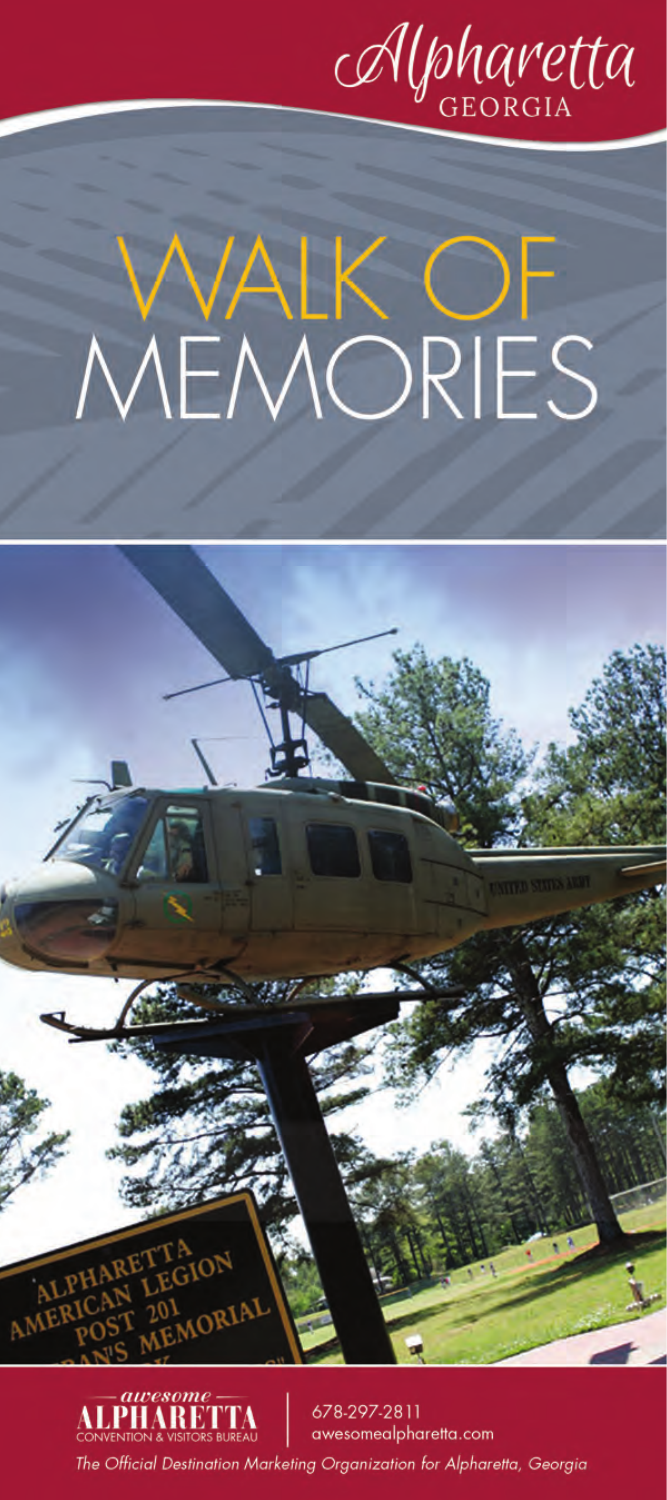

# YLK OF<br>MORIES MEN



*<u>Lawesome</u>*<br>**LPHARETTA** 678-297-2811 awesomealpharetta.com The Official Destination Marketing Organization for Alpharetta, Georgia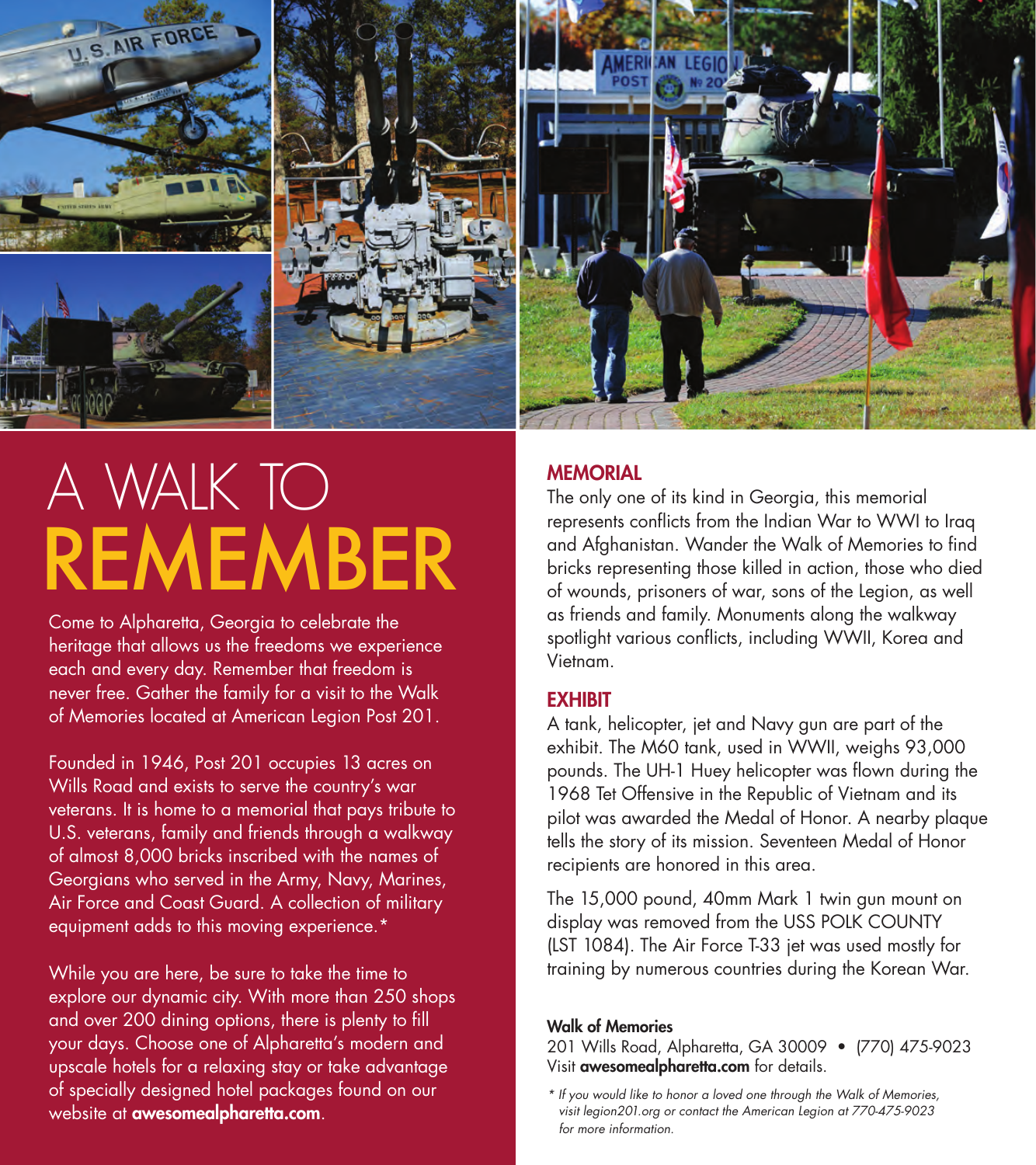

# REMEMBER A WALK TO

Come to Alpharetta, Georgia to celebrate the heritage that allows us the freedoms we experience each and every day. Remember that freedom is never free. Gather the family for a visit to the Walk of Memories located at American Legion Post 201.

Founded in 1946, Post 201 occupies 13 acres on Wills Road and exists to serve the country's war veterans. It is home to a memorial that pays tribute to U.S. veterans, family and friends through a walkway of almost 8,000 bricks inscribed with the names of Georgians who served in the Army, Navy, Marines, Air Force and Coast Guard. A collection of military equipment adds to this moving experience.\*

While you are here, be sure to take the time to explore our dynamic city. With more than 250 shops and over 200 dining options, there is plenty to fill your days. Choose one of Alpharetta's modern and upscale hotels for a relaxing stay or take advantage of specially designed hotel packages found on our website at **awesomealpharetta.com**.

## **MEMORIAL**

The only one of its kind in Georgia, this memorial represents conflicts from the Indian War to WWI to Iraq and Afghanistan. Wander the Walk of Memories to find bricks representing those killed in action, those who died of wounds, prisoners of war, sons of the Legion, as well as friends and family. Monuments along the walkway spotlight various conflicts, including WWII, Korea and Vietnam.

### **FXHIRIT**

A tank, helicopter, jet and Navy gun are part of the exhibit. The M60 tank, used in WWII, weighs 93,000 pounds. The UH-1 Huey helicopter was flown during the 1968 Tet Offensive in the Republic of Vietnam and its pilot was awarded the Medal of Honor. A nearby plaque tells the story of its mission. Seventeen Medal of Honor recipients are honored in this area.

The 15,000 pound, 40mm Mark 1 twin gun mount on display was removed from the USS POLK COUNTY (LST 1084). The Air Force T-33 jet was used mostly for training by numerous countries during the Korean War.

#### Walk of Memories

201 Wills Road, Alpharetta, GA 30009 • (770) 475-9023 Visit awesomealpharetta.com for details.

*<sup>\*</sup> If you would like to honor a loved one through the Walk of Memories, visit legion201.org or contact the American Legion at 770-475-9023 for more information.*